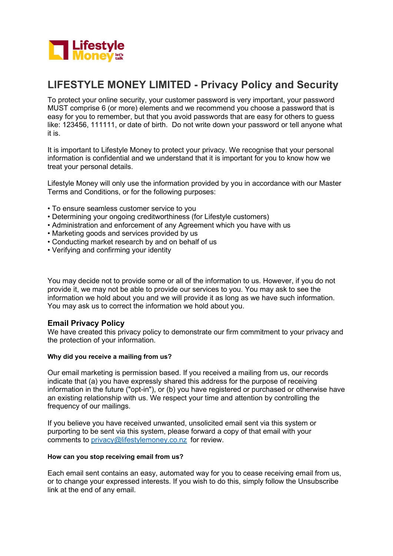

# **LIFESTYLE MONEY LIMITED - Privacy Policy and Security**

To protect your online security, your customer password is very important, your password MUST comprise 6 (or more) elements and we recommend you choose a password that is easy for you to remember, but that you avoid passwords that are easy for others to guess like: 123456, 111111, or date of birth. Do not write down your password or tell anyone what it is.

It is important to Lifestyle Money to protect your privacy. We recognise that your personal information is confidential and we understand that it is important for you to know how we treat your personal details.

Lifestyle Money will only use the information provided by you in accordance with our Master Terms and Conditions, or for the following purposes:

- To ensure seamless customer service to you
- Determining your ongoing creditworthiness (for Lifestyle customers)
- Administration and enforcement of any Agreement which you have with us
- Marketing goods and services provided by us
- Conducting market research by and on behalf of us
- Verifying and confirming your identity

You may decide not to provide some or all of the information to us. However, if you do not provide it, we may not be able to provide our services to you. You may ask to see the information we hold about you and we will provide it as long as we have such information. You may ask us to correct the information we hold about you.

# **Email Privacy Policy**

We have created this privacy policy to demonstrate our firm commitment to your privacy and the protection of your information.

## **Why did you receive a mailing from us?**

Our email marketing is permission based. If you received a mailing from us, our records indicate that (a) you have expressly shared this address for the purpose of receiving information in the future ("opt-in"), or (b) you have registered or purchased or otherwise have an existing relationship with us. We respect your time and attention by controlling the frequency of our mailings.

If you believe you have received unwanted, unsolicited email sent via this system or purporting to be sent via this system, please forward a copy of that email with your comments to [privacy@lifestylemoney.co.nz](mailto:privacy@lifestylemoney.co.nz) for review.

## **How can you stop receiving email from us?**

Each email sent contains an easy, automated way for you to cease receiving email from us, or to change your expressed interests. If you wish to do this, simply follow the Unsubscribe link at the end of any email.